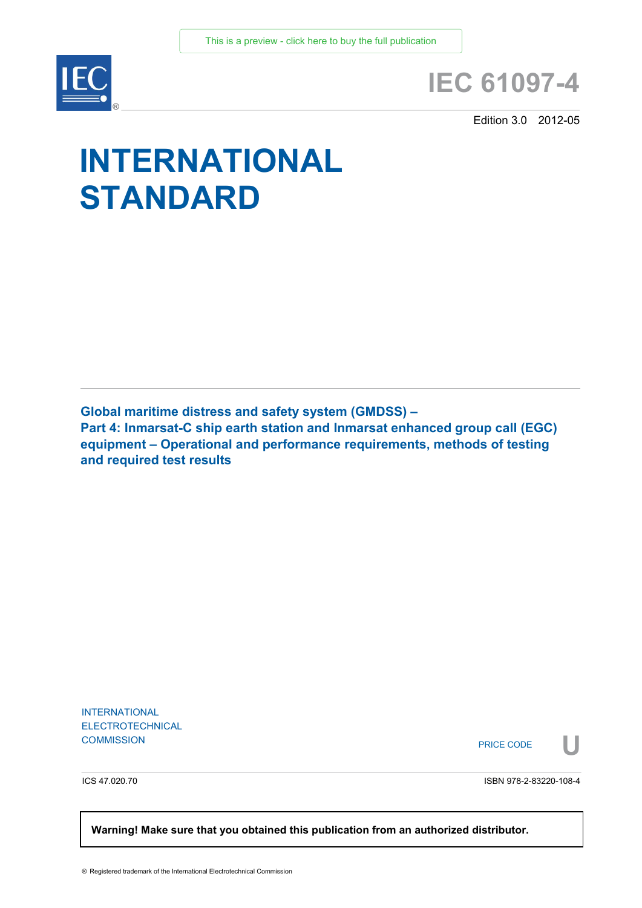

## **IEC 61097-4**

Edition 3.0 2012-05

# **INTERNATIONAL STANDARD**

**Global maritime distress and safety system (GMDSS) –**

**Part 4: Inmarsat-C ship earth station and Inmarsat enhanced group call (EGC) equipment – Operational and performance requirements, methods of testing and required test results**

INTERNATIONAL ELECTROTECHNICAL **COMMISSION**<br>
PRICE CODE

PRICE CODE

ICS 47.020.70

ISBN 978-2-83220-108-4

 **Warning! Make sure that you obtained this publication from an authorized distributor.**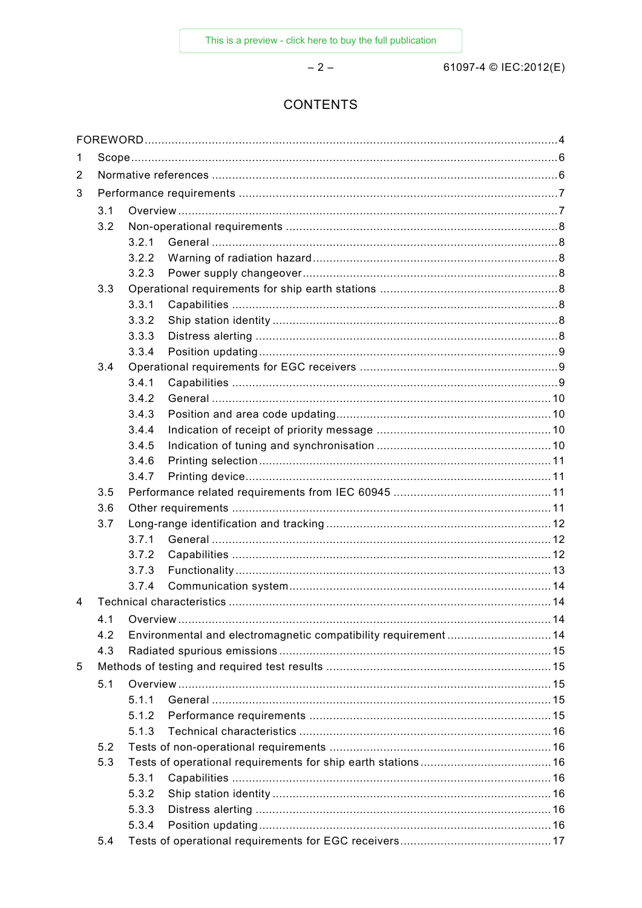$-2-$ 

61097-4 © IEC:2012(E)

### **CONTENTS**

| 1 |     |                                                               |  |  |  |  |
|---|-----|---------------------------------------------------------------|--|--|--|--|
| 2 |     |                                                               |  |  |  |  |
| 3 |     |                                                               |  |  |  |  |
|   | 3.1 |                                                               |  |  |  |  |
|   | 3.2 |                                                               |  |  |  |  |
|   |     | 3.2.1                                                         |  |  |  |  |
|   |     | 3.2.2                                                         |  |  |  |  |
|   |     | 3.2.3                                                         |  |  |  |  |
|   | 3.3 |                                                               |  |  |  |  |
|   |     | 3.3.1                                                         |  |  |  |  |
|   |     | 3.3.2                                                         |  |  |  |  |
|   |     | 3.3.3                                                         |  |  |  |  |
|   |     | 3.3.4                                                         |  |  |  |  |
|   | 3.4 |                                                               |  |  |  |  |
|   |     | 3.4.1                                                         |  |  |  |  |
|   |     | 3.4.2                                                         |  |  |  |  |
|   |     | 3.4.3                                                         |  |  |  |  |
|   |     | 3.4.4                                                         |  |  |  |  |
|   |     | 3.4.5                                                         |  |  |  |  |
|   |     | 3.4.6                                                         |  |  |  |  |
|   |     | 3.4.7                                                         |  |  |  |  |
|   | 3.5 |                                                               |  |  |  |  |
|   | 3.6 |                                                               |  |  |  |  |
|   | 3.7 |                                                               |  |  |  |  |
|   |     | 3.7.1                                                         |  |  |  |  |
|   |     | 3.7.2                                                         |  |  |  |  |
|   |     | 3.7.3                                                         |  |  |  |  |
|   |     | 3.7.4                                                         |  |  |  |  |
| 4 |     |                                                               |  |  |  |  |
|   | 4.1 |                                                               |  |  |  |  |
|   | 4.2 | Environmental and electromagnetic compatibility requirement14 |  |  |  |  |
|   | 4.3 |                                                               |  |  |  |  |
| 5 |     |                                                               |  |  |  |  |
|   | 5.1 |                                                               |  |  |  |  |
|   |     | 5.1.1                                                         |  |  |  |  |
|   |     | 5.1.2                                                         |  |  |  |  |
|   |     | 5.1.3                                                         |  |  |  |  |
|   | 5.2 |                                                               |  |  |  |  |
|   | 5.3 |                                                               |  |  |  |  |
|   |     | 5.3.1                                                         |  |  |  |  |
|   |     | 5.3.2                                                         |  |  |  |  |
|   |     | 5.3.3                                                         |  |  |  |  |
|   |     | 5.3.4                                                         |  |  |  |  |
|   | 5.4 |                                                               |  |  |  |  |
|   |     |                                                               |  |  |  |  |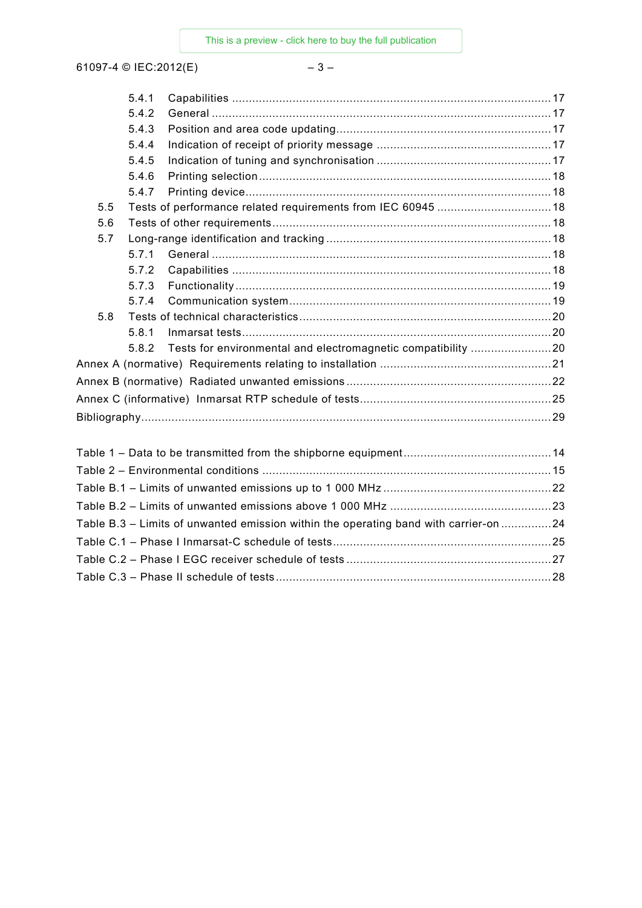61097-4 © IEC:2012(E)  $-3-$ 

|     | 5.4.1 |                                                                                      |  |  |  |  |  |
|-----|-------|--------------------------------------------------------------------------------------|--|--|--|--|--|
|     | 5.4.2 |                                                                                      |  |  |  |  |  |
|     | 5.4.3 |                                                                                      |  |  |  |  |  |
|     | 5.4.4 |                                                                                      |  |  |  |  |  |
|     | 5.4.5 |                                                                                      |  |  |  |  |  |
|     | 5.4.6 |                                                                                      |  |  |  |  |  |
|     | 5.4.7 |                                                                                      |  |  |  |  |  |
| 5.5 |       |                                                                                      |  |  |  |  |  |
| 5.6 |       |                                                                                      |  |  |  |  |  |
| 5.7 |       |                                                                                      |  |  |  |  |  |
|     | 5.7.1 |                                                                                      |  |  |  |  |  |
|     | 5.7.2 |                                                                                      |  |  |  |  |  |
|     | 5.7.3 |                                                                                      |  |  |  |  |  |
|     | 5.7.4 |                                                                                      |  |  |  |  |  |
| 5.8 |       |                                                                                      |  |  |  |  |  |
|     | 5.8.1 |                                                                                      |  |  |  |  |  |
|     | 5.8.2 | Tests for environmental and electromagnetic compatibility 20                         |  |  |  |  |  |
|     |       |                                                                                      |  |  |  |  |  |
|     |       |                                                                                      |  |  |  |  |  |
|     |       |                                                                                      |  |  |  |  |  |
|     |       |                                                                                      |  |  |  |  |  |
|     |       |                                                                                      |  |  |  |  |  |
|     |       |                                                                                      |  |  |  |  |  |
|     |       |                                                                                      |  |  |  |  |  |
|     |       |                                                                                      |  |  |  |  |  |
|     |       |                                                                                      |  |  |  |  |  |
|     |       | Table B.3 - Limits of unwanted emission within the operating band with carrier-on 24 |  |  |  |  |  |
|     |       |                                                                                      |  |  |  |  |  |
|     |       |                                                                                      |  |  |  |  |  |
|     |       |                                                                                      |  |  |  |  |  |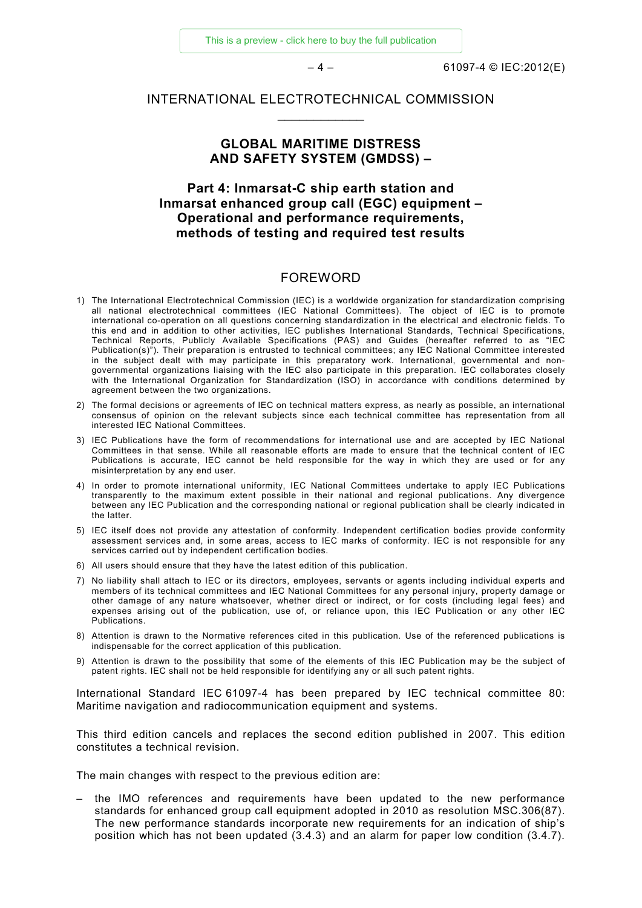[This is a preview - click here to buy the full publication](https://webstore.iec.ch/publication/4503&preview=1)

– 4 – 61097-4 © IEC:2012(E)

#### INTERNATIONAL ELECTROTECHNICAL COMMISSION \_\_\_\_\_\_\_\_\_\_\_\_

#### **GLOBAL MARITIME DISTRESS AND SAFETY SYSTEM (GMDSS) –**

#### **Part 4: Inmarsat-C ship earth station and Inmarsat enhanced group call (EGC) equipment – Operational and performance requirements, methods of testing and required test results**

#### FOREWORD

- 1) The International Electrotechnical Commission (IEC) is a worldwide organization for standardization comprising all national electrotechnical committees (IEC National Committees). The object of IEC is to promote international co-operation on all questions concerning standardization in the electrical and electronic fields. To this end and in addition to other activities, IEC publishes International Standards, Technical Specifications, Technical Reports, Publicly Available Specifications (PAS) and Guides (hereafter referred to as "IEC Publication(s)"). Their preparation is entrusted to technical committees; any IEC National Committee interested in the subject dealt with may participate in this preparatory work. International, governmental and nongovernmental organizations liaising with the IEC also participate in this preparation. IEC collaborates closely with the International Organization for Standardization (ISO) in accordance with conditions determined by agreement between the two organizations.
- 2) The formal decisions or agreements of IEC on technical matters express, as nearly as possible, an international consensus of opinion on the relevant subjects since each technical committee has representation from all interested IEC National Committees.
- 3) IEC Publications have the form of recommendations for international use and are accepted by IEC National Committees in that sense. While all reasonable efforts are made to ensure that the technical content of IEC Publications is accurate, IEC cannot be held responsible for the way in which they are used or for any misinterpretation by any end user.
- 4) In order to promote international uniformity, IEC National Committees undertake to apply IEC Publications transparently to the maximum extent possible in their national and regional publications. Any divergence between any IEC Publication and the corresponding national or regional publication shall be clearly indicated in the latter.
- 5) IEC itself does not provide any attestation of conformity. Independent certification bodies provide conformity assessment services and, in some areas, access to IEC marks of conformity. IEC is not responsible for any services carried out by independent certification bodies.
- 6) All users should ensure that they have the latest edition of this publication.
- 7) No liability shall attach to IEC or its directors, employees, servants or agents including individual experts and members of its technical committees and IEC National Committees for any personal injury, property damage or other damage of any nature whatsoever, whether direct or indirect, or for costs (including legal fees) and expenses arising out of the publication, use of, or reliance upon, this IEC Publication or any other IEC Publications.
- 8) Attention is drawn to the Normative references cited in this publication. Use of the referenced publications is indispensable for the correct application of this publication.
- 9) Attention is drawn to the possibility that some of the elements of this IEC Publication may be the subject of patent rights. IEC shall not be held responsible for identifying any or all such patent rights.

International Standard IEC 61097-4 has been prepared by IEC technical committee 80: Maritime navigation and radiocommunication equipment and systems.

This third edition cancels and replaces the second edition published in 2007. This edition constitutes a technical revision.

The main changes with respect to the previous edition are:

– the IMO references and requirements have been updated to the new performance standards for enhanced group call equipment adopted in 2010 as resolution MSC.306(87). The new performance standards incorporate new requirements for an indication of ship's position which has not been updated (3.4.3) and an alarm for paper low condition (3.4.7).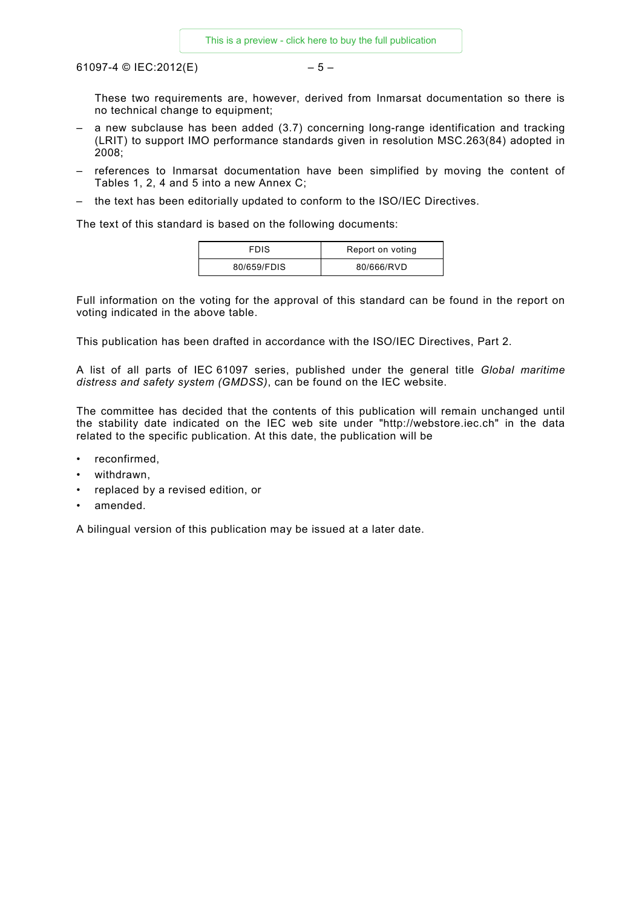61097-4 © IEC:2012(E)  $-5-$ 

These two requirements are, however, derived from Inmarsat documentation so there is no technical change to equipment;

- a new subclause has been added (3.7) concerning long-range identification and tracking (LRIT) to support IMO performance standards given in resolution MSC.263(84) adopted in 2008;
- references to Inmarsat documentation have been simplified by moving the content of Tables 1, 2, 4 and 5 into a new Annex C;
- the text has been editorially updated to conform to the ISO/IEC Directives.

The text of this standard is based on the following documents:

| <b>FDIS</b> | Report on voting |
|-------------|------------------|
| 80/659/FDIS | 80/666/RVD       |

Full information on the voting for the approval of this standard can be found in the report on voting indicated in the above table.

This publication has been drafted in accordance with the ISO/IEC Directives, Part 2.

A list of all parts of IEC 61097 series, published under the general title *Global maritime distress and safety system (GMDSS)*, can be found on the IEC website.

The committee has decided that the contents of this publication will remain unchanged until the stability date indicated on the IEC web site under "http://webstore.iec.ch" in the data related to the specific publication. At this date, the publication will be

- reconfirmed.
- withdrawn.
- replaced by a revised edition, or
- amended.

A bilingual version of this publication may be issued at a later date.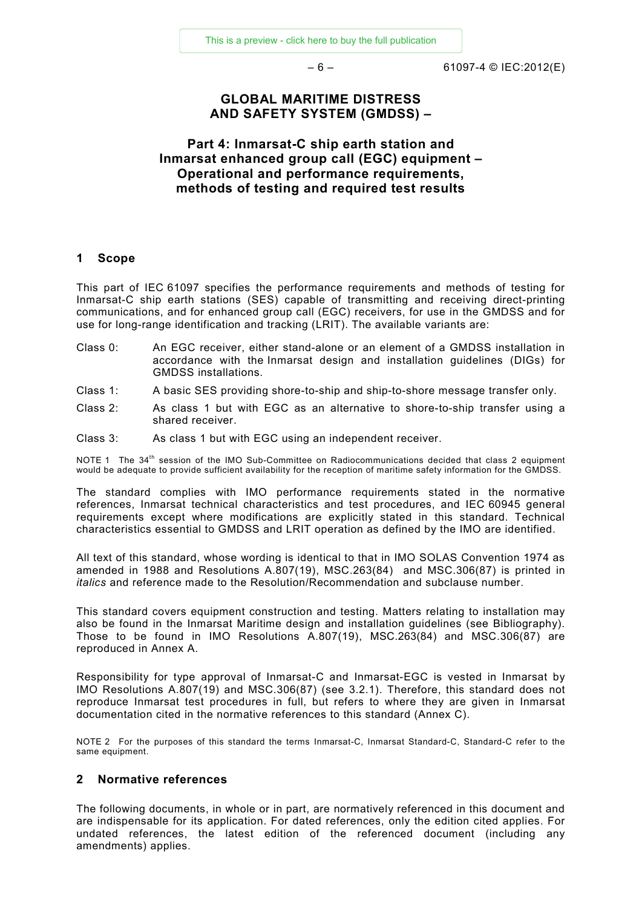$-6 - 6$  – 61097-4 © IEC:2012(E)

#### **GLOBAL MARITIME DISTRESS AND SAFETY SYSTEM (GMDSS) –**

#### **Part 4: Inmarsat-C ship earth station and Inmarsat enhanced group call (EGC) equipment – Operational and performance requirements, methods of testing and required test results**

#### **1 Scope**

This part of IEC 61097 specifies the performance requirements and methods of testing for Inmarsat-C ship earth stations (SES) capable of transmitting and receiving direct-printing communications, and for enhanced group call (EGC) receivers, for use in the GMDSS and for use for long-range identification and tracking (LRIT). The available variants are:

- Class 0: An EGC receiver, either stand-alone or an element of a GMDSS installation in accordance with the Inmarsat design and installation guidelines (DIGs) for GMDSS installations.
- Class 1: A basic SES providing shore-to-ship and ship-to-shore message transfer only.
- Class 2: As class 1 but with EGC as an alternative to shore-to-ship transfer using a shared receiver.
- Class 3: As class 1 but with EGC using an independent receiver.

NOTE 1 The 34<sup>th</sup> session of the IMO Sub-Committee on Radiocommunications decided that class 2 equipment would be adequate to provide sufficient availability for the reception of maritime safety information for the GMDSS.

The standard complies with IMO performance requirements stated in the normative references, Inmarsat technical characteristics and test procedures, and IEC 60945 general requirements except where modifications are explicitly stated in this standard. Technical characteristics essential to GMDSS and LRIT operation as defined by the IMO are identified.

All text of this standard, whose wording is identical to that in IMO SOLAS Convention 1974 as amended in 1988 and Resolutions A.807(19), MSC.263(84) and MSC.306(87) is printed in *italics* and reference made to the Resolution/Recommendation and subclause number.

This standard covers equipment construction and testing. Matters relating to installation may also be found in the Inmarsat Maritime design and installation guidelines (see Bibliography). Those to be found in IMO Resolutions A.807(19), MSC.263(84) and MSC.306(87) are reproduced in Annex A.

Responsibility for type approval of Inmarsat-C and Inmarsat-EGC is vested in Inmarsat by IMO Resolutions A.807(19) and MSC.306(87) (see 3.2.1). Therefore, this standard does not reproduce Inmarsat test procedures in full, but refers to where they are given in Inmarsat documentation cited in the normative references to this standard (Annex C).

NOTE 2 For the purposes of this standard the terms Inmarsat-C, Inmarsat Standard-C, Standard-C refer to the same equipment.

#### **2 Normative references**

The following documents, in whole or in part, are normatively referenced in this document and are indispensable for its application. For dated references, only the edition cited applies. For undated references, the latest edition of the referenced document (including any amendments) applies.